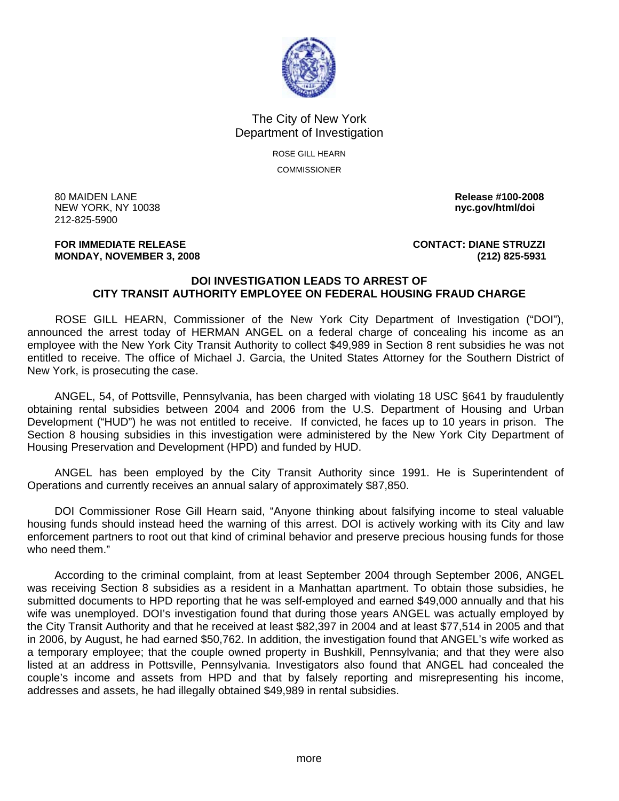

## The City of New York Department of Investigation

ROSE GILL HEARN **COMMISSIONER** 

80 MAIDEN LANE **Release #100-2008 NEW YORK, NY 10038** 212-825-5900

**FOR IMMEDIATE RELEASE CONTACT: DIANE STRUZZI MONDAY, NOVEMBER 3, 2008 (212) 825-5931**

## **DOI INVESTIGATION LEADS TO ARREST OF CITY TRANSIT AUTHORITY EMPLOYEE ON FEDERAL HOUSING FRAUD CHARGE**

 ROSE GILL HEARN, Commissioner of the New York City Department of Investigation ("DOI"), announced the arrest today of HERMAN ANGEL on a federal charge of concealing his income as an employee with the New York City Transit Authority to collect \$49,989 in Section 8 rent subsidies he was not entitled to receive. The office of Michael J. Garcia, the United States Attorney for the Southern District of New York, is prosecuting the case.

 ANGEL, 54, of Pottsville, Pennsylvania, has been charged with violating 18 USC §641 by fraudulently obtaining rental subsidies between 2004 and 2006 from the U.S. Department of Housing and Urban Development ("HUD") he was not entitled to receive. If convicted, he faces up to 10 years in prison. The Section 8 housing subsidies in this investigation were administered by the New York City Department of Housing Preservation and Development (HPD) and funded by HUD.

 ANGEL has been employed by the City Transit Authority since 1991. He is Superintendent of Operations and currently receives an annual salary of approximately \$87,850.

 DOI Commissioner Rose Gill Hearn said, "Anyone thinking about falsifying income to steal valuable housing funds should instead heed the warning of this arrest. DOI is actively working with its City and law enforcement partners to root out that kind of criminal behavior and preserve precious housing funds for those who need them."

 According to the criminal complaint, from at least September 2004 through September 2006, ANGEL was receiving Section 8 subsidies as a resident in a Manhattan apartment. To obtain those subsidies, he submitted documents to HPD reporting that he was self-employed and earned \$49,000 annually and that his wife was unemployed. DOI's investigation found that during those years ANGEL was actually employed by the City Transit Authority and that he received at least \$82,397 in 2004 and at least \$77,514 in 2005 and that in 2006, by August, he had earned \$50,762. In addition, the investigation found that ANGEL's wife worked as a temporary employee; that the couple owned property in Bushkill, Pennsylvania; and that they were also listed at an address in Pottsville, Pennsylvania. Investigators also found that ANGEL had concealed the couple's income and assets from HPD and that by falsely reporting and misrepresenting his income, addresses and assets, he had illegally obtained \$49,989 in rental subsidies.